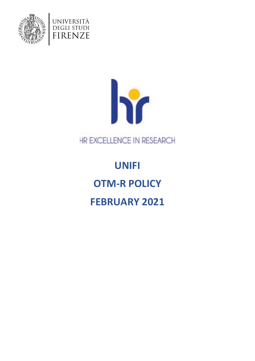



HR EXCELLENCE IN RESEARCH

# **UNIFI OTM-R POLICY FEBRUARY 2021**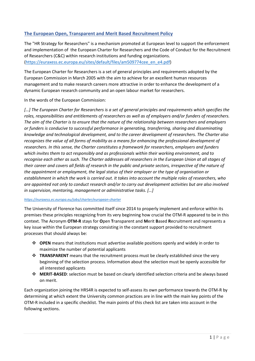## **The European Open, Transparent and Merit Based Recruitment Policy**

The "HR Strategy for Researchers" is a mechanism promoted at European level to support the enforcement and implementation of the European Charter for Researchers and the Code of Conduct for the Recruitment of Researchers (C&C) within research institutions and funding organizations. [\(https://euraxess.ec.europa.eu/sites/default/files/am509774cee\\_en\\_e4.pdf\)](https://euraxess.ec.europa.eu/sites/default/files/am509774cee_en_e4.pdf)

The European Charter for Researchers is a set of general principles and requirements adopted by the European Commission in March 2005 with the aim to achieve for an excellent human resources management and to make research careers more attractive in order to enhance the development of a dynamic European research community and an open labour market for researchers.

In the words of the European Commission:

[...] The European Charter for Researchers is a set of general principles and requirements which specifies the *roles, responsibilities and entitlements of researchers as well as of employers and/or funders of researchers. The aim of the Charter is to ensure that the nature of the relationship between researchers and employers or funders is conducive to successful performance in generating, transferring, sharing and disseminating knowledge and technological development, and to the career development of researchers. The Charter also recognizes the value of all forms of mobility as a means for enhancing the professional development of researchers. In this sense, the Charter constitutes a framework for researchers, employers and funders which invites them to act responsibly and as professionals within their working environment, and to recognise each other as such. The Charter addresses all researchers in the European Union at all stages of their career and covers all fields of research in the public and private sectors, irrespective of the nature of the appointment or employment, the legal status of their employer or the type of organisation or establishment in which the work is carried out. It takes into account the multiple roles of researchers, who are appointed not only to conduct research and/or to carry out development activities but are also involved in supervision, mentoring, management or administrative tasks. […]*

#### *<https://euraxess.ec.europa.eu/jobs/charter/european-charter>*

The University of Florence has committed itself since 2014 to properly implement and enforce within its premises these principles recognizing from its very beginning how crucial the OTM-R appeared to be in this context. The Acronym **OTM-R** stays for **O**pen **T**ransparent and **M**erit **B**ased **R**ecruitment and represents a key issue within the European strategy consisting in the constant support provided to recruitment processes that should always be:

- **OPEN** means that institutions must advertise available positions openly and widely in order to maximize the number of potential applicants
- **TRANSPARENT** means that the recruitment process must be clearly established since the very beginning of the selection process. Information about the selection must be openly accessible for all interested applicants
- **MERIT-BASED**: selection must be based on clearly identified selection criteria and be always based on merit.

Each organization joining the HRS4R is expected to self-assess its own performance towards the OTM-R by determining at which extent the University common practices are in line with the main key points of the OTM-R included in a specific checklist. The main points of this check list are taken into account in the following sections.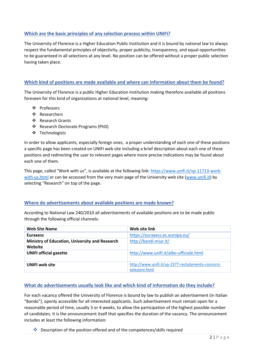## **Which are the basic principles of any selection process within UNIFI?**

The University of Florence is a Higher Education Public Institution and it is bound by national law to always respect the fundamental principles of objectivity, proper publicity, transparency, and equal opportunities to be guaranteed in all selections at any level. No position can be offered without a proper public selection having taken place.

## **Which kind of positions are made available and where can information about them be found?**

The University of Florence is a public Higher Education Institution making therefore available all positions foreseen for this kind of organizations at national level, meaning:

- ❖ Professors
- Researchers
- ❖ Research Grants
- Research Doctorate Programs (PhD)
- Technologists

In order to allow applicants, especially foreign ones, a proper understanding of each one of these positions a specific page has been created on UNIFI web site including a brief description about each one of these positions and redirecting the user to relevant pages where more precise indications may be found about each one of them.

This page, called "Work with us", is available at the following link: [https://www.unifi.it/vp-11713-work](https://www.unifi.it/vp-11713-work-with-us.html)[with-us.html](https://www.unifi.it/vp-11713-work-with-us.html) or can be accessed from the very main page of the University web site [\(www.unifi.it\)](http://www.unifi.it/) by selecting "Research" on top of the page.

#### **Where do advertisements about available positions are made known?**

According to National Law 240/2010 all advertisements of available positions are to be made public through the following official channels:

| <b>Web Site Name</b>                                      | Web site link                                                        |
|-----------------------------------------------------------|----------------------------------------------------------------------|
| <b>Euraxess</b>                                           | https://euraxess.ec.europa.eu/                                       |
| Ministry of Education, University and Research<br>Website | http://bandi.miur.it/                                                |
| <b>UNIFI official gazette</b>                             | http://www.unifi.it/albo-ufficiale.html                              |
| <b>UNIFI</b> web site                                     | http://www.unifi.it/vp-2377-reclutamento-concorsi-<br>selezioni.html |

#### **What do advertisements usually look like and which kind of information do they include?**

For each vacancy offered the University of Florence is bound by law to publish an advertisement (in Italian "Bando"), openly accessible for all interested applicants. Such advertisement must remain open for a reasonable period of time, usually 3 or 4 weeks, to allow the participation of the highest possible number of candidates. It is the announcement itself that specifies the duration of the vacancy. The announcement includes at least the following information:

Description of the position offered and of the competences/skills required